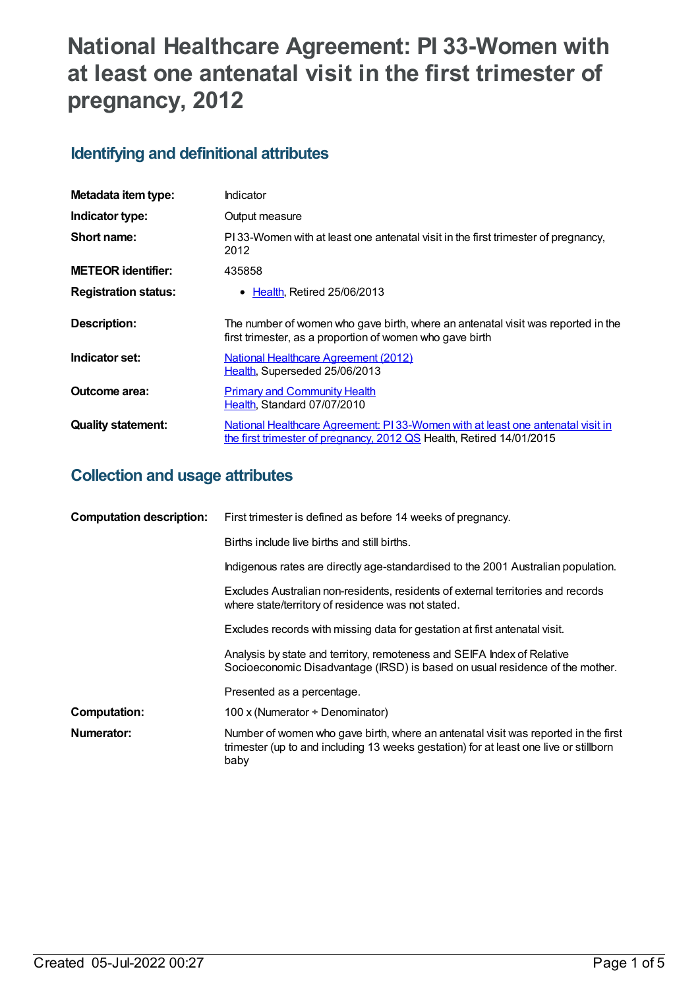# **National Healthcare Agreement: PI 33-Women with at least one antenatal visit in the first trimester of pregnancy, 2012**

## **Identifying and definitional attributes**

| Metadata item type:         | Indicator                                                                                                                                               |
|-----------------------------|---------------------------------------------------------------------------------------------------------------------------------------------------------|
| Indicator type:             | Output measure                                                                                                                                          |
| Short name:                 | PI33-Women with at least one antenatal visit in the first trimester of pregnancy,<br>2012                                                               |
| <b>METEOR identifier:</b>   | 435858                                                                                                                                                  |
| <b>Registration status:</b> | • Health, Retired 25/06/2013                                                                                                                            |
| <b>Description:</b>         | The number of women who gave birth, where an antenatal visit was reported in the<br>first trimester, as a proportion of women who gave birth            |
| Indicator set:              | <b>National Healthcare Agreement (2012)</b><br>Health, Superseded 25/06/2013                                                                            |
| Outcome area:               | <b>Primary and Community Health</b><br>Health, Standard 07/07/2010                                                                                      |
| <b>Quality statement:</b>   | National Healthcare Agreement: PI 33-Women with at least one antenatal visit in<br>the first trimester of pregnancy, 2012 QS Health, Retired 14/01/2015 |

#### **Collection and usage attributes**

| <b>Computation description:</b> | First trimester is defined as before 14 weeks of pregnancy.                                                                                                                         |
|---------------------------------|-------------------------------------------------------------------------------------------------------------------------------------------------------------------------------------|
|                                 | Births include live births and still births.                                                                                                                                        |
|                                 | Indigenous rates are directly age-standardised to the 2001 Australian population.                                                                                                   |
|                                 | Excludes Australian non-residents, residents of external territories and records<br>where state/territory of residence was not stated.                                              |
|                                 | Excludes records with missing data for gestation at first antenatal visit.                                                                                                          |
|                                 | Analysis by state and territory, remoteness and SEIFA Index of Relative<br>Socioeconomic Disadvantage (IRSD) is based on usual residence of the mother.                             |
|                                 | Presented as a percentage.                                                                                                                                                          |
| <b>Computation:</b>             | 100 x (Numerator ÷ Denominator)                                                                                                                                                     |
| Numerator:                      | Number of women who gave birth, where an antenatal visit was reported in the first<br>trimester (up to and including 13 weeks gestation) for at least one live or stillborn<br>baby |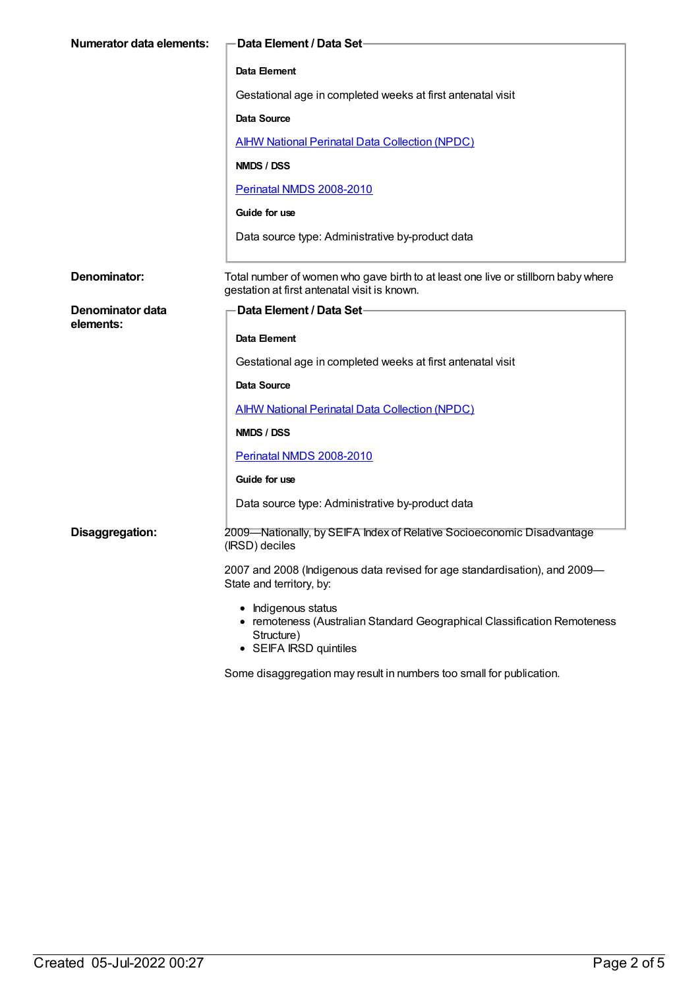| <b>Numerator data elements:</b> | Data Element / Data Set                                                                                                                 |
|---------------------------------|-----------------------------------------------------------------------------------------------------------------------------------------|
|                                 | Data Element                                                                                                                            |
|                                 | Gestational age in completed weeks at first antenatal visit                                                                             |
|                                 | <b>Data Source</b>                                                                                                                      |
|                                 | <b>AIHW National Perinatal Data Collection (NPDC)</b>                                                                                   |
|                                 | NMDS / DSS                                                                                                                              |
|                                 | Perinatal NMDS 2008-2010                                                                                                                |
|                                 | Guide for use                                                                                                                           |
|                                 | Data source type: Administrative by-product data                                                                                        |
|                                 |                                                                                                                                         |
| Denominator:                    | Total number of women who gave birth to at least one live or stillborn baby where<br>gestation at first antenatal visit is known.       |
| Denominator data                | Data Element / Data Set-                                                                                                                |
| elements:                       |                                                                                                                                         |
|                                 | Data Element                                                                                                                            |
|                                 | Gestational age in completed weeks at first antenatal visit                                                                             |
|                                 | <b>Data Source</b>                                                                                                                      |
|                                 | <b>AIHW National Perinatal Data Collection (NPDC)</b>                                                                                   |
|                                 | NMDS / DSS                                                                                                                              |
|                                 | Perinatal NMDS 2008-2010                                                                                                                |
|                                 | Guide for use                                                                                                                           |
|                                 | Data source type: Administrative by-product data                                                                                        |
| Disaggregation:                 | 2009—Nationally, by SEIFA Index of Relative Socioeconomic Disadvantage<br>(IRSD) deciles                                                |
|                                 | 2007 and 2008 (Indigenous data revised for age standardisation), and 2009-<br>State and territory, by:                                  |
|                                 | • Indigenous status<br>• remoteness (Australian Standard Geographical Classification Remoteness<br>Structure)<br>• SEIFA IRSD quintiles |
|                                 | Some disaggregation may result in numbers too small for publication.                                                                    |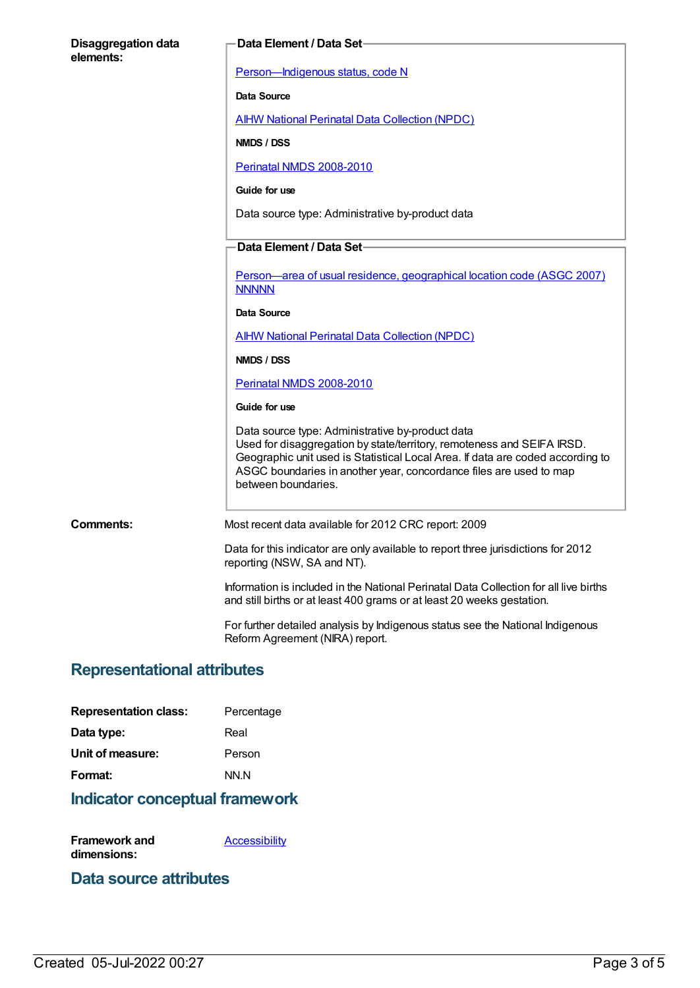| <b>Disaggregation data</b><br>elements: | Data Element / Data Set-                                                                                                                                                                                                                                                                                  |
|-----------------------------------------|-----------------------------------------------------------------------------------------------------------------------------------------------------------------------------------------------------------------------------------------------------------------------------------------------------------|
|                                         | Person-Indigenous status, code N                                                                                                                                                                                                                                                                          |
|                                         | <b>Data Source</b>                                                                                                                                                                                                                                                                                        |
|                                         | <b>AIHW National Perinatal Data Collection (NPDC)</b>                                                                                                                                                                                                                                                     |
|                                         | NMDS / DSS                                                                                                                                                                                                                                                                                                |
|                                         | Perinatal NMDS 2008-2010                                                                                                                                                                                                                                                                                  |
|                                         | Guide for use                                                                                                                                                                                                                                                                                             |
|                                         | Data source type: Administrative by-product data                                                                                                                                                                                                                                                          |
|                                         | Data Element / Data Set-                                                                                                                                                                                                                                                                                  |
|                                         | Person—area of usual residence, geographical location code (ASGC 2007)<br><b>NNNNN</b>                                                                                                                                                                                                                    |
|                                         | Data Source                                                                                                                                                                                                                                                                                               |
|                                         | <b>AIHW National Perinatal Data Collection (NPDC)</b>                                                                                                                                                                                                                                                     |
|                                         | NMDS / DSS                                                                                                                                                                                                                                                                                                |
|                                         | Perinatal NMDS 2008-2010                                                                                                                                                                                                                                                                                  |
|                                         | Guide for use                                                                                                                                                                                                                                                                                             |
|                                         | Data source type: Administrative by-product data<br>Used for disaggregation by state/territory, remoteness and SEIFA IRSD.<br>Geographic unit used is Statistical Local Area. If data are coded according to<br>ASGC boundaries in another year, concordance files are used to map<br>between boundaries. |
| Comments:                               | Most recent data available for 2012 CRC report: 2009                                                                                                                                                                                                                                                      |
|                                         | Data for this indicator are only available to report three jurisdictions for 2012<br>reporting (NSW, SA and NT).                                                                                                                                                                                          |
|                                         | Information is included in the National Perinatal Data Collection for all live births<br>and still births or at least 400 grams or at least 20 weeks gestation.                                                                                                                                           |
|                                         | For further detailed analysis by Indigenous status see the National Indigenous<br>Reform Agreement (NIRA) report.                                                                                                                                                                                         |

## **Representational attributes**

| <b>Representation class:</b> | Percentage |
|------------------------------|------------|
| Data type:                   | Real       |
| Unit of measure:             | Person     |
| Format:                      | NN.N       |
|                              |            |

### **Indicator conceptual framework**

| Framework and | Accessibility |
|---------------|---------------|
| dimensions:   |               |

#### **Data source attributes**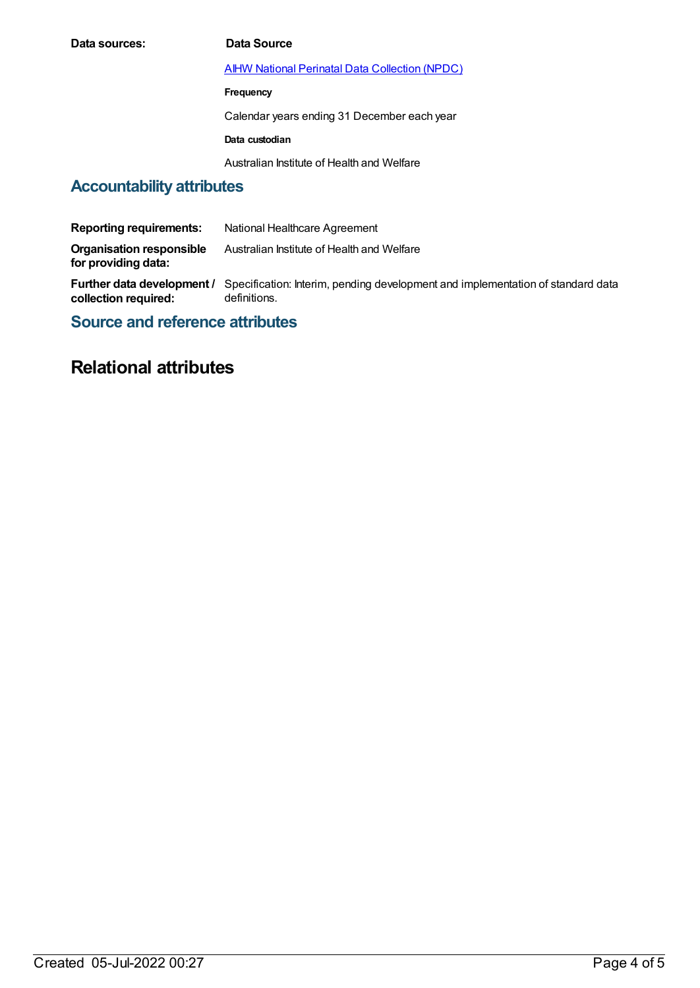| Data sources: | Data Source                                           |
|---------------|-------------------------------------------------------|
|               | <b>AIHW National Perinatal Data Collection (NPDC)</b> |
|               | Frequency                                             |
|               | Calendar years ending 31 December each year           |
|               | Data custodian                                        |
|               | Australian Institute of Health and Welfare            |

# **Accountability attributes**

| <b>Reporting requirements:</b>                     | National Healthcare Agreement                                                                   |
|----------------------------------------------------|-------------------------------------------------------------------------------------------------|
| Organisation responsible<br>for providing data:    | Australian Institute of Health and Welfare                                                      |
| Further data development /<br>collection required: | Specification: Interim, pending development and implementation of standard data<br>definitions. |

**Source and reference attributes**

## **Relational attributes**